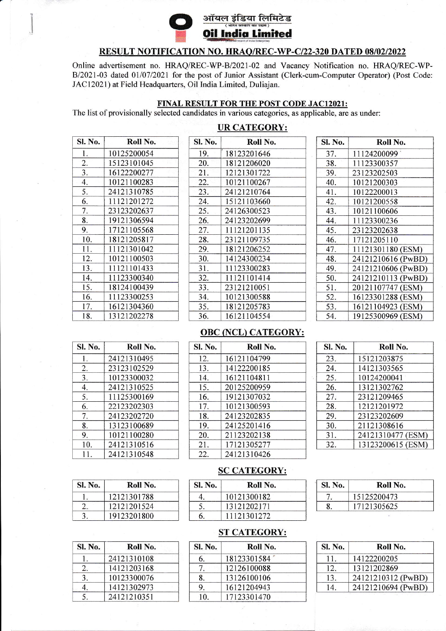

# ऑयल इंडिया लिमिटेड **Oil India Limited**

### RESULT NOTIFICATION NO. HRAQ/REC-WP-C/22-320 DATED 08/02/2022

Online advertisement no. HRAQ/REC-WP-B/2021-02 and Vacancy Notification no. HRAQ/REC-WP-B/2021-03 dated 01/07/2021 for the post of Junior Assistant (Clerk-cum-Computer Operator) (Post Code: JAC12021) at Field Headquarters, Oil India Limited, Duliajan.

## FINAL RESULT FOR THE POST CODE JAC12021:

The list of provisionally selected candidates in various categories, as applicable, are as under:

## **UR CATEGORY:**

| Sl. No. | Roll No.    |
|---------|-------------|
| 1.      | 10125200054 |
| 2.      | 15123101045 |
| 3.      | 16122200277 |
| 4.      | 10121100283 |
| 5.      | 24121310785 |
| 6.      | 11121201272 |
| 7.      | 23123202637 |
| 8.      | 19121306594 |
| 9.      | 17121105568 |
| 10.     | 18121205817 |
| 11.     | 11121301042 |
| 12.     | 10121100503 |
| 13.     | 11121101433 |
| 14.     | 11123300340 |
| 15.     | 18124100439 |
| 16.     | 11123300253 |
| 17.     | 16121304360 |
| 18.     | 13121202278 |

| Sl. No. | Roll No.    |
|---------|-------------|
| 19.     | 18123201646 |
| 20.     | 18121206020 |
| 21.     | 12121301722 |
| 22.     | 10121100267 |
| 23.     | 24121210764 |
| 24.     | 15121103660 |
| 25.     | 24126300523 |
| 26.     | 24123202699 |
| 27.     | 11121201135 |
| 28.     | 23121109735 |
| 29.     | 18121206252 |
| 30.     | 14124300234 |
| 31.     | 11123300283 |
| 32.     | 11121101414 |
| 33.     | 23121210051 |
| 34.     | 10121300588 |
| 35.     | 18121205783 |
| 36.     | 16121104554 |

| Sl. No. | Roll No.           |
|---------|--------------------|
| 37.     | 11124200099        |
| 38.     | 11123300357        |
| 39.     | 23123202503        |
| 40.     | 10121200303        |
| 41.     | 10122200013        |
| 42.     | 10121200558        |
| 43.     | 10121100606        |
| 44.     | 11123300236        |
| 45.     | 23123202638        |
| 46.     | 17121205110        |
| 47.     | 11121301180 (ESM)  |
| 48.     | 24121210616 (PwBD) |
| 49.     | 24121210606 (PwBD) |
| 50.     | 24121210113 (PwBD) |
| 51.     | 20121107747 (ESM)  |
| 52.     | 16123301288 (ESM)  |
| 53.     | 16121104923 (ESM)  |
| 54.     | 19125300969 (ESM)  |

#### **OBC (NCL) CATEGORY:**

| <b>Sl. No.</b> | Roll No.    |  |
|----------------|-------------|--|
| 1.             | 24121310495 |  |
| 2.             | 23123102529 |  |
| 3.             | 10123300032 |  |
| 4.             | 24121310525 |  |
| 5.             | 11125300169 |  |
| 6.             | 22123202303 |  |
| 7.             | 24123202720 |  |
| 8.             | 13123100689 |  |
| 9.             | 10121100280 |  |
| 10.            | 24121310516 |  |
|                | 24121310548 |  |

Sl. No.

1.

 $\overline{2}$ . 3.

| <b>SI. No.</b> | Roll No.    |  |
|----------------|-------------|--|
| 12.            | 16121104799 |  |
| 13.            | 14122200185 |  |
| 14.            | 16121104811 |  |
| 15.            | 20125200959 |  |
| 16.            | 19121307032 |  |
| 17.            | 10121300593 |  |
| 18.            | 24123202835 |  |
| 19.            | 24125201416 |  |
| 20.            | 21123202138 |  |
| 21.            | 17121305277 |  |
| 22.            | 24121310426 |  |

| Sl. No. | Roll No.          |
|---------|-------------------|
| 23.     | 15121203875       |
| 24.     | 14121303565       |
| 25.     | 10124200041       |
| 26.     | 13121302762       |
| 27.     | 23121209465       |
| 28.     | 12121201972       |
| 29.     | 23123202609       |
| 30.     | 21121308616       |
| 31.     | 24121310477 (ESM) |
| 32.     | 13123200615 (ESM) |

#### **SC CATEGORY:**

| <b>Sl. No.</b> | Roll No.    |
|----------------|-------------|
|                | 10121300182 |
|                | 13121202171 |
| 6.             | 11121301272 |

| Sl. No. | Roll No.    |
|---------|-------------|
|         | 15125200473 |
|         | 17121305625 |

| <b>SI. No.</b> | Roll No.    |  |
|----------------|-------------|--|
|                | 24121310108 |  |
| 2.             | 14121203168 |  |
| 3.             | 10123300076 |  |
|                | 14121302973 |  |
|                | 24121210351 |  |

Roll No.

12121301788

12121201524

19123201800

## **ST CATEGORY:**

| <b>SI. No.</b> | Roll No.    |  |
|----------------|-------------|--|
| 6.             | 18123301584 |  |
|                | 12126100088 |  |
| 8.             | 13126100106 |  |
| 9              | 16121204943 |  |
| 10             | 17123301470 |  |

| Sl. No. | Roll No.           |
|---------|--------------------|
| 11.     | 14122200205        |
| 12.     | 13121202869        |
| 13.     | 24121210312 (PwBD) |
| 14      | 24121210694 (PwBD) |